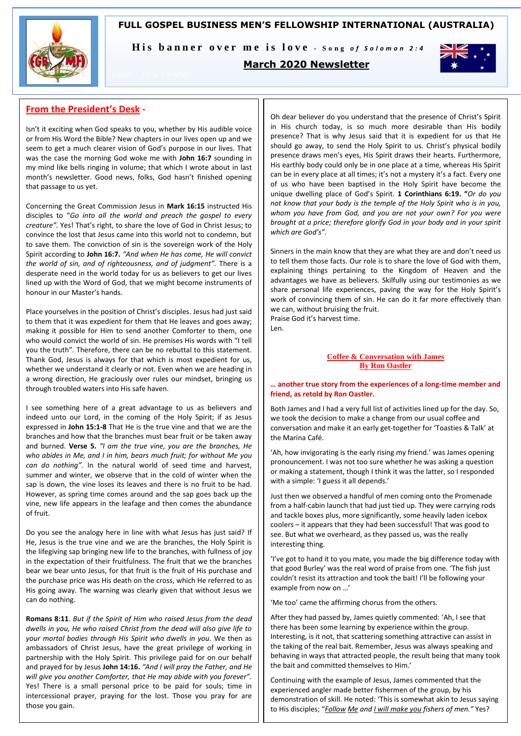## **FULL GOSPEL BUSINESS MEN'S FELLOWSHIP INTERNATIONAL (AUSTRALIA)**



His banner over me is love - Song of Solomon 2:4

## **March 2020 Newsletter**



## **From the President's Desk -**

Isn't it exciting when God speaks to you, whether by His audible voice or from His Word the Bible? New chapters in our lives open up and we seem to get a much clearer vision of God's purpose in our lives. That was the case the morning God woke me with **John 16:7** sounding in my mind like bells ringing in volume; that which I wrote about in last month's newsletter. Good news, folks, God hasn't finished opening that passage to us yet.

Concerning the Great Commission Jesus in **Mark 16:15** instructed His disciples to "*Go into all the world and preach the gospel to every creature".* Yes! That's right, to share the love of God in Christ Jesus; to convince the lost that Jesus came into this world not to condemn, but to save them. The conviction of sin is the sovereign work of the Holy Spirit according to **John 16:7.** *"And when He has come, He will convict the world of sin, and of righteousness, and of judgment".* There is a desperate need in the world today for us as believers to get our lives lined up with the Word of God, that we might become instruments of honour in our Master's hands.

Place yourselves in the position of Christ's disciples. Jesus had just said to them that it was expedient for them that He leaves and goes away; making it possible for Him to send another Comforter to them, one who would convict the world of sin. He premises His words with "I tell you the truth". Therefore, there can be no rebuttal to this statement. Thank God, Jesus is always for that which is most expedient for us, whether we understand it clearly or not. Even when we are heading in a wrong direction, He graciously over rules our mindset, bringing us through troubled waters into His safe haven.

I see something here of a great advantage to us as believers and indeed unto our Lord, in the coming of the Holy Spirit; if as Jesus expressed in **John 15:1-8** That He is the true vine and that we are the branches and how that the branches must bear fruit or be taken away and burned. **Verse 5.** *"I am the true vine, you are the branches, He who abides in Me, and I in him, bears much fruit; for without Me you can do nothing".* In the natural world of seed time and harvest, summer and winter, we observe that in the cold of winter when the sap is down, the vine loses its leaves and there is no fruit to be had. However, as spring time comes around and the sap goes back up the vine, new life appears in the leafage and then comes the abundance of fruit.

Do you see the analogy here in line with what Jesus has just said? If He, Jesus is the true vine and we are the branches, the Holy Spirit is the lifegiving sap bringing new life to the branches, with fullness of joy in the expectation of their fruitfulness. The fruit that we the branches bear we bear unto Jesus, for that fruit is the fruit of His purchase and the purchase price was His death on the cross, which He referred to as His going away. The warning was clearly given that without Jesus we can do nothing.

**Romans 8:11**. *But if the Spirit of Him who raised Jesus from the dead dwells in you, He who raised Christ from the dead will also give life to your mortal bodies through His Spirit who dwells in you.* We then as ambassadors of Christ Jesus, have the great privilege of working in partnership with the Holy Spirit. This privilege paid for on our behalf and prayed for by Jesus **John 14:16.** *"And I will pray the Father, and He will give you another Comforter, that He may abide with you forever".* Yes! There is a small personal price to be paid for souls; time in intercessional prayer, praying for the lost. Those you pray for are those you gain.

Oh dear believer do you understand that the presence of Christ's Spirit in His church today, is so much more desirable than His bodily presence? That is why Jesus said that it is expedient for us that He should go away, to send the Holy Spirit to us. Christ's physical bodily presence draws men's eyes, His Spirit draws their hearts. Furthermore, His earthly body could only be in one place at a time, whereas His Spirit can be in every place at all times; it's not a mystery it's a fact. Every one of us who have been baptised in the Holy Spirit have become the unique dwelling place of God's Spirit. **1 Corinthians 6:19. "***Or do you not know that your body is the temple of the Holy Spirit who is in you, whom you have from God, and you are not your own? For you were brought at a price; therefore glorify God in your body and in your spirit which are God's".* 

Sinners in the main know that they are what they are and don't need us to tell them those facts. Our role is to share the love of God with them, explaining things pertaining to the Kingdom of Heaven and the advantages we have as believers. Skilfully using our testimonies as we share personal life experiences, paving the way for the Holy Spirit's work of convincing them of sin. He can do it far more effectively than we can, without bruising the fruit. Praise God it's harvest time.

Len.

### **Coffee & Conversation with James By Ron Oastler**

### *…* **another true story from the experiences of a long-time member and friend, as retold by Ron Oastler.**

Both James and I had a very full list of activities lined up for the day. So, we took the decision to make a change from our usual coffee and conversation and make it an early get-together for 'Toasties & Talk' at the Marina Café.

'Ah, how invigorating is the early rising my friend.' was James opening pronouncement. I was not too sure whether he was asking a question or making a statement, though I think it was the latter, so I responded with a simple: 'I guess it all depends.'

Just then we observed a handful of men coming onto the Promenade from a half-cabin launch that had just tied up. They were carrying rods and tackle boxes plus, more significantly, some heavily laden icebox coolers – it appears that they had been successful! That was good to see. But what we overheard, as they passed us, was the really interesting thing.

'I've got to hand it to you mate, you made the big difference today with that good Burley' was the real word of praise from one. 'The fish just couldn't resist its attraction and took the bait! I'll be following your example from now on …'

'Me too' came the affirming chorus from the others.

After they had passed by, James quietly commented: 'Ah, I see that there has been some learning by experience within the group. Interesting, is it not, that scattering something attractive can assist in the taking of the real bait. Remember, Jesus was always speaking and behaving in ways that attracted people, the result being that many took the bait and committed themselves to Him.'

Continuing with the example of Jesus, James commented that the experienced angler made better fishermen of the group, by his demonstration of skill. He noted: 'This is somewhat akin to Jesus saying to His disciples; "*Follow Me and I will make you fishers of men."* Yes?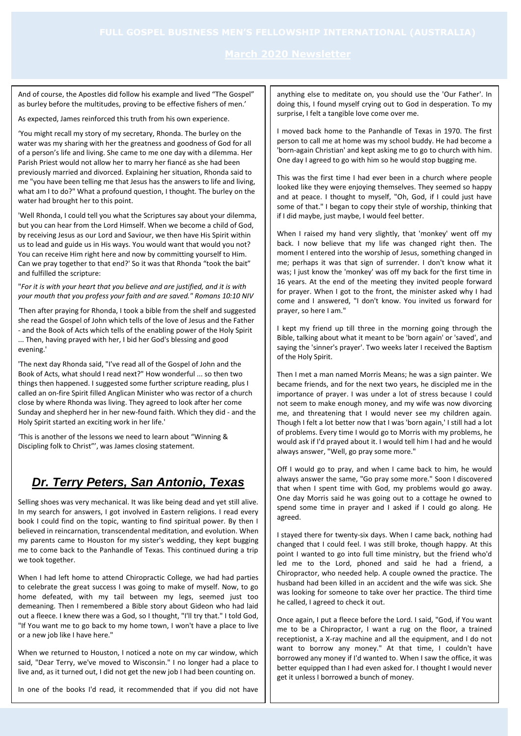And of course, the Apostles did follow his example and lived "The Gospel" as burley before the multitudes, proving to be effective fishers of men.'

As expected, James reinforced this truth from his own experience.

'You might recall my story of my secretary, Rhonda. The burley on the water was my sharing with her the greatness and goodness of God for all of a person's life and living. She came to me one day with a dilemma. Her Parish Priest would not allow her to marry her fiancé as she had been previously married and divorced. Explaining her situation, Rhonda said to me "you have been telling me that Jesus has the answers to life and living, what am I to do?" What a profound question, I thought. The burley on the water had brought her to this point.

'Well Rhonda, I could tell you what the Scriptures say about your dilemma, but you can hear from the Lord Himself. When we become a child of God, by receiving Jesus as our Lord and Saviour, we then have His Spirit within us to lead and guide us in His ways. You would want that would you not? You can receive Him right here and now by committing yourself to Him. Can we pray together to that end?' So it was that Rhonda "took the bait" and fulfilled the scripture:

"*For it is with your heart that you believe and are justified, and it is with your mouth that you profess your faith and are saved." Romans 10:10 NIV*

*'*Then after praying for Rhonda, I took a bible from the shelf and suggested she read the Gospel of John which tells of the love of Jesus and the Father - and the Book of Acts which tells of the enabling power of the Holy Spirit ... Then, having prayed with her, I bid her God's blessing and good evening.'

'The next day Rhonda said, "I've read all of the Gospel of John and the Book of Acts, what should I read next?" How wonderful ... so then two things then happened. I suggested some further scripture reading, plus I called an on-fire Spirit filled Anglican Minister who was rector of a church close by where Rhonda was living. They agreed to look after her come Sunday and shepherd her in her new-found faith. Which they did - and the Holy Spirit started an exciting work in her life.'

'This is another of the lessons we need to learn about "Winning & Discipling folk to Christ"', was James closing statement.

# *Dr. Terry Peters, San Antonio, Texas*

Selling shoes was very mechanical. It was like being dead and yet still alive. In my search for answers, I got involved in Eastern religions. I read every book I could find on the topic, wanting to find spiritual power. By then I believed in reincarnation, transcendental meditation, and evolution. When my parents came to Houston for my sister's wedding, they kept bugging me to come back to the Panhandle of Texas. This continued during a trip we took together.

When I had left home to attend Chiropractic College, we had had parties to celebrate the great success I was going to make of myself. Now, to go home defeated, with my tail between my legs, seemed just too demeaning. Then I remembered a Bible story about Gideon who had laid out a fleece. I knew there was a God, so I thought, "I'll try that." I told God, "If You want me to go back to my home town, I won't have a place to live or a new job like I have here."

When we returned to Houston, I noticed a note on my car window, which said, "Dear Terry, we've moved to Wisconsin." I no longer had a place to live and, as it turned out, I did not get the new job I had been counting on.

In one of the books I'd read, it recommended that if you did not have

anything else to meditate on, you should use the 'Our Father'. In doing this, I found myself crying out to God in desperation. To my surprise, I felt a tangible love come over me.

I moved back home to the Panhandle of Texas in 1970. The first person to call me at home was my school buddy. He had become a 'born-again Christian' and kept asking me to go to church with him. One day I agreed to go with him so he would stop bugging me.

This was the first time I had ever been in a church where people looked like they were enjoying themselves. They seemed so happy and at peace. I thought to myself, "Oh, God, if I could just have some of that." I began to copy their style of worship, thinking that if I did maybe, just maybe, I would feel better.

When I raised my hand very slightly, that 'monkey' went off my back. I now believe that my life was changed right then. The moment I entered into the worship of Jesus, something changed in me; perhaps it was that sign of surrender. I don't know what it was; I just know the 'monkey' was off my back for the first time in 16 years. At the end of the meeting they invited people forward for prayer. When I got to the front, the minister asked why I had come and I answered, "I don't know. You invited us forward for prayer, so here I am."

I kept my friend up till three in the morning going through the Bible, talking about what it meant to be 'born again' or 'saved', and saying the 'sinner's prayer'. Two weeks later I received the Baptism of the Holy Spirit.

Then I met a man named Morris Means; he was a sign painter. We became friends, and for the next two years, he discipled me in the importance of prayer. I was under a lot of stress because I could not seem to make enough money, and my wife was now divorcing me, and threatening that I would never see my children again. Though I felt a lot better now that I was 'born again,' I still had a lot of problems. Every time I would go to Morris with my problems, he would ask if I'd prayed about it. I would tell him I had and he would always answer, "Well, go pray some more."

Off I would go to pray, and when I came back to him, he would always answer the same, "Go pray some more." Soon I discovered that when I spent time with God, my problems would go away. One day Morris said he was going out to a cottage he owned to spend some time in prayer and I asked if I could go along. He agreed.

I stayed there for twenty-six days. When I came back, nothing had changed that I could feel. I was still broke, though happy. At this point I wanted to go into full time ministry, but the friend who'd led me to the Lord, phoned and said he had a friend, a Chiropractor, who needed help. A couple owned the practice. The husband had been killed in an accident and the wife was sick. She was looking for someone to take over her practice. The third time he called, I agreed to check it out.

Once again, I put a fleece before the Lord. I said, "God, if You want me to be a Chiropractor, I want a rug on the floor, a trained receptionist, a X-ray machine and all the equipment, and I do not want to borrow any money." At that time, I couldn't have borrowed any money if I'd wanted to. When I saw the office, it was better equipped than I had even asked for. I thought I would never get it unless I borrowed a bunch of money.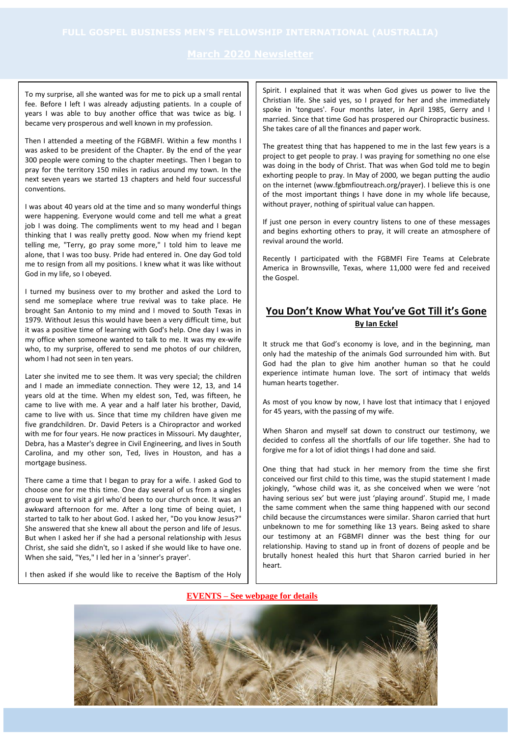To my surprise, all she wanted was for me to pick up a small rental fee. Before I left I was already adjusting patients. In a couple of years I was able to buy another office that was twice as big. I became very prosperous and well known in my profession.

Then I attended a meeting of the FGBMFI. Within a few months I was asked to be president of the Chapter. By the end of the year 300 people were coming to the chapter meetings. Then I began to pray for the territory 150 miles in radius around my town. In the next seven years we started 13 chapters and held four successful conventions.

I was about 40 years old at the time and so many wonderful things were happening. Everyone would come and tell me what a great job I was doing. The compliments went to my head and I began thinking that I was really pretty good. Now when my friend kept telling me, "Terry, go pray some more," I told him to leave me alone, that I was too busy. Pride had entered in. One day God told me to resign from all my positions. I knew what it was like without God in my life, so I obeyed.

I turned my business over to my brother and asked the Lord to send me someplace where true revival was to take place. He brought San Antonio to my mind and I moved to South Texas in 1979. Without Jesus this would have been a very difficult time, but it was a positive time of learning with God's help. One day I was in my office when someone wanted to talk to me. It was my ex-wife who, to my surprise, offered to send me photos of our children, whom I had not seen in ten years.

Later she invited me to see them. It was very special; the children and I made an immediate connection. They were 12, 13, and 14 years old at the time. When my eldest son, Ted, was fifteen, he came to live with me. A year and a half later his brother, David, came to live with us. Since that time my children have given me five grandchildren. Dr. David Peters is a Chiropractor and worked with me for four years. He now practices in Missouri. My daughter, Debra, has a Master's degree in Civil Engineering, and lives in South Carolina, and my other son, Ted, lives in Houston, and has a mortgage business.

There came a time that I began to pray for a wife. I asked God to choose one for me this time. One day several of us from a singles group went to visit a girl who'd been to our church once. It was an awkward afternoon for me. After a long time of being quiet, I started to talk to her about God. I asked her, "Do you know Jesus?" She answered that she knew all about the person and life of Jesus. But when I asked her if she had a personal relationship with Jesus Christ, she said she didn't, so I asked if she would like to have one. When she said, "Yes," I led her in a 'sinner's prayer'.

I then asked if she would like to receive the Baptism of the Holy

Spirit. I explained that it was when God gives us power to live the Christian life. She said yes, so I prayed for her and she immediately spoke in 'tongues'. Four months later, in April 1985, Gerry and I married. Since that time God has prospered our Chiropractic business. She takes care of all the finances and paper work.

The greatest thing that has happened to me in the last few years is a project to get people to pray. I was praying for something no one else was doing in the body of Christ. That was when God told me to begin exhorting people to pray. In May of 2000, we began putting the audio on the internet (www.fgbmfioutreach.org/prayer). I believe this is one of the most important things I have done in my whole life because, without prayer, nothing of spiritual value can happen.

If just one person in every country listens to one of these messages and begins exhorting others to pray, it will create an atmosphere of revival around the world.

Recently I participated with the FGBMFI Fire Teams at Celebrate America in Brownsville, Texas, where 11,000 were fed and received the Gospel.

## **You Don't Know What You've Got Till it's Gone By Ian Eckel**

It struck me that God's economy is love, and in the beginning, man only had the mateship of the animals God surrounded him with. But God had the plan to give him another human so that he could experience intimate human love. The sort of intimacy that welds human hearts together.

As most of you know by now, I have lost that intimacy that I enjoyed for 45 years, with the passing of my wife.

When Sharon and myself sat down to construct our testimony, we decided to confess all the shortfalls of our life together. She had to forgive me for a lot of idiot things I had done and said.

One thing that had stuck in her memory from the time she first conceived our first child to this time, was the stupid statement I made jokingly, "whose child was it, as she conceived when we were 'not having serious sex' but were just 'playing around'. Stupid me, I made the same comment when the same thing happened with our second child because the circumstances were similar. Sharon carried that hurt unbeknown to me for something like 13 years. Being asked to share our testimony at an FGBMFI dinner was the best thing for our relationship. Having to stand up in front of dozens of people and be brutally honest healed this hurt that Sharon carried buried in her heart.